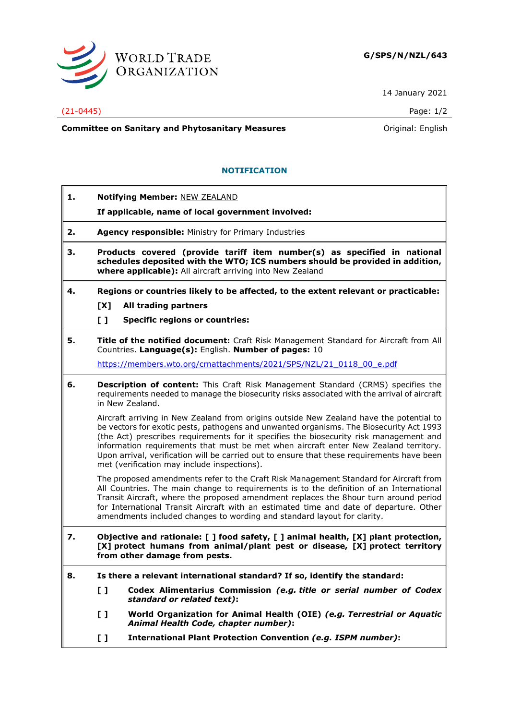

14 January 2021

### (21-0445) Page: 1/2

**Committee on Sanitary and Phytosanitary Measures Committee on Sanitary and Phytosanitary Measures Committee And American** 

# **NOTIFICATION**

- **1. Notifying Member:** NEW ZEALAND
	- **If applicable, name of local government involved:**
- **2. Agency responsible:** Ministry for Primary Industries
- **3. Products covered (provide tariff item number(s) as specified in national schedules deposited with the WTO; ICS numbers should be provided in addition, where applicable):** All aircraft arriving into New Zealand
- **4. Regions or countries likely to be affected, to the extent relevant or practicable: [X] All trading partners**
	-
	- **[ ] Specific regions or countries:**
- **5. Title of the notified document:** Craft Risk Management Standard for Aircraft from All Countries. **Language(s):** English. **Number of pages:** 10

[https://members.wto.org/crnattachments/2021/SPS/NZL/21\\_0118\\_00\\_e.pdf](https://members.wto.org/crnattachments/2021/SPS/NZL/21_0118_00_e.pdf)

**6. Description of content:** This Craft Risk Management Standard (CRMS) specifies the requirements needed to manage the biosecurity risks associated with the arrival of aircraft in New Zealand.

Aircraft arriving in New Zealand from origins outside New Zealand have the potential to be vectors for exotic pests, pathogens and unwanted organisms. The Biosecurity Act 1993 (the Act) prescribes requirements for it specifies the biosecurity risk management and information requirements that must be met when aircraft enter New Zealand territory. Upon arrival, verification will be carried out to ensure that these requirements have been met (verification may include inspections).

The proposed amendments refer to the Craft Risk Management Standard for Aircraft from All Countries. The main change to requirements is to the definition of an International Transit Aircraft, where the proposed amendment replaces the 8hour turn around period for International Transit Aircraft with an estimated time and date of departure. Other amendments included changes to wording and standard layout for clarity.

- **7. Objective and rationale: [ ] food safety, [ ] animal health, [X] plant protection, [X] protect humans from animal/plant pest or disease, [X] protect territory from other damage from pests.**
- **8. Is there a relevant international standard? If so, identify the standard:**
	- **[ ] Codex Alimentarius Commission** *(e.g. title or serial number of Codex standard or related text)***:**
	- **[ ] World Organization for Animal Health (OIE)** *(e.g. Terrestrial or Aquatic Animal Health Code, chapter number)***:**
	- **[ ] International Plant Protection Convention** *(e.g. ISPM number)***:**